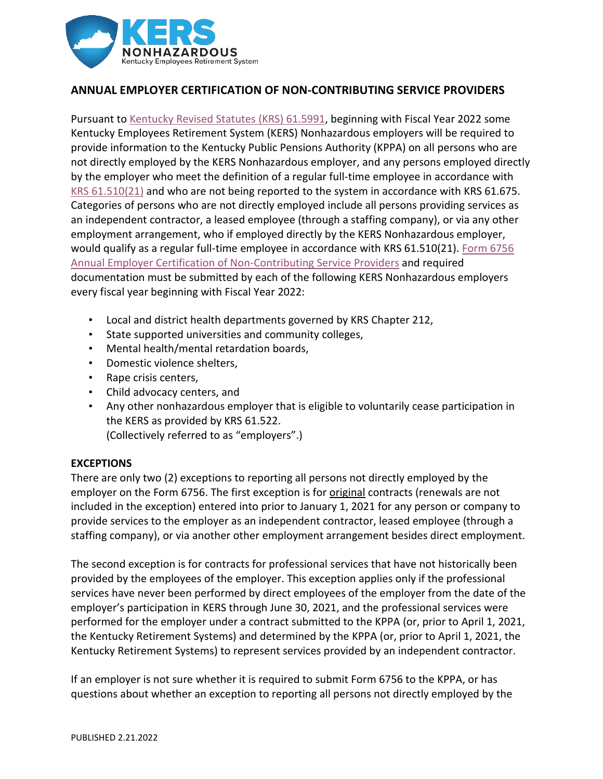

# **ANNUAL EMPLOYER CERTIFICATION OF NON-CONTRIBUTING SERVICE PROVIDERS**

Pursuant to [Kentucky Revised Statutes \(KRS\) 61.5991,](https://apps.legislature.ky.gov/law/statutes/statute.aspx?id=50741) beginning with Fiscal Year 2022 some Kentucky Employees Retirement System (KERS) Nonhazardous employers will be required to provide information to the Kentucky Public Pensions Authority (KPPA) on all persons who are not directly employed by the KERS Nonhazardous employer, and any persons employed directly by the employer who meet the definition of a regular full-time employee in accordance with [KRS 61.510\(21\)](https://link.zixcentral.com/u/1a1b1412/THakepjP6xGLGl-i0C6LPw?u=https%3A%2F%2Flnks.gd%2Fl%2FeyJhbGciOiJIUzI1NiJ9.eyJidWxsZXRpbl9saW5rX2lkIjoxMDAsInVyaSI6ImJwMjpjbGljayIsImJ1bGxldGluX2lkIjoiMjAyMTA2MTcuNDIwNzAwMDEiLCJ1cmwiOiJodHRwczovL2FwcHMubGVnaXNsYXR1cmUua3kuZ292L2xhdy9zdGF0dXRlcy9zdGF0dXRlLmFzcHg_aWQ9NTEyMjgjcGFnZT01In0.gTbCC42z6xlNRTqKLFG_8jWZ8matGrFU2zrfHeyKAJM%2Fs%2F959250417%2Fbr%2F108090267243-l) and who are not being reported to the system in accordance with KRS 61.675. Categories of persons who are not directly employed include all persons providing services as an independent contractor, a leased employee (through a staffing company), or via any other employment arrangement, who if employed directly by the KERS Nonhazardous employer, would qualify as a regular full-time employee in accordance with KRS 61.510(21). [Form 6756](https://kyret.ky.gov/Employers/Resources/Employer%20Forms/Form%206756.pdf) [Annual Employer Certification of Non-Contributing Service Providers](https://kyret.ky.gov/Employers/Resources/Employer%20Forms/Form%206756.pdf) and required documentation must be submitted by each of the following KERS Nonhazardous employers every fiscal year beginning with Fiscal Year 2022:

- Local and district health departments governed by KRS Chapter 212,
- State supported universities and community colleges,
- Mental health/mental retardation boards,
- Domestic violence shelters,
- Rape crisis centers,
- Child advocacy centers, and
- Any other nonhazardous employer that is eligible to voluntarily cease participation in the KERS as provided by KRS 61.522.

(Collectively referred to as "employers".)

# **EXCEPTIONS**

There are only two (2) exceptions to reporting all persons not directly employed by the employer on the Form 6756. The first exception is for original contracts (renewals are not included in the exception) entered into prior to January 1, 2021 for any person or company to provide services to the employer as an independent contractor, leased employee (through a staffing company), or via another other employment arrangement besides direct employment.

The second exception is for contracts for professional services that have not historically been provided by the employees of the employer. This exception applies only if the professional services have never been performed by direct employees of the employer from the date of the employer's participation in KERS through June 30, 2021, and the professional services were performed for the employer under a contract submitted to the KPPA (or, prior to April 1, 2021, the Kentucky Retirement Systems) and determined by the KPPA (or, prior to April 1, 2021, the Kentucky Retirement Systems) to represent services provided by an independent contractor.

If an employer is not sure whether it is required to submit Form 6756 to the KPPA, or has questions about whether an exception to reporting all persons not directly employed by the